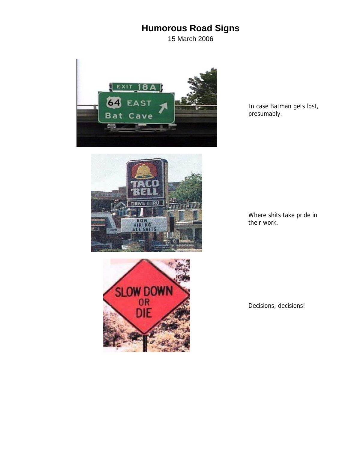## **Humorous Road Signs**

15 March 2006



In case Batman gets lost, presumably.





Where shits take pride in their work.

Decisions, decisions!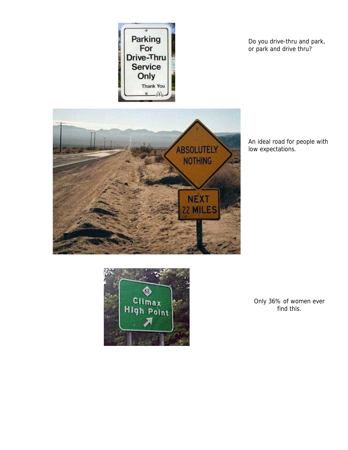

Do you drive-thru and park, or park and drive thru?



An ideal road for people with low expectations.



Only 36% of women ever find this.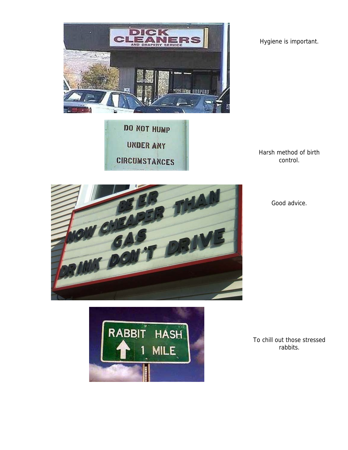

DO NOT HUMP **UNDER ANY CIRCUMSTANCES** 



Harsh method of birth control.



Good advice.



To chill out those stressed rabbits.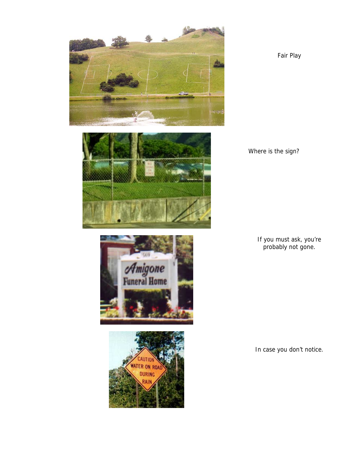

Fair Play







Where is the sign?

If you must ask, you're probably not gone.

In case you don't notice.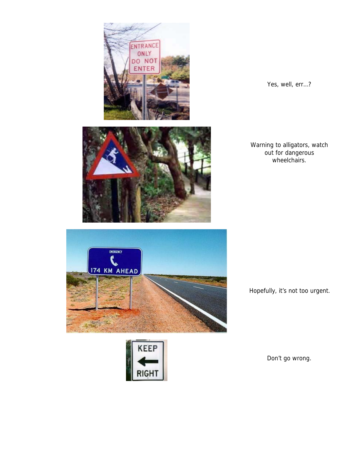



Yes, well, err…?

Warning to alligators, watch out for dangerous wheelchairs.

Hopefully, it's not too urgent.

Don't go wrong.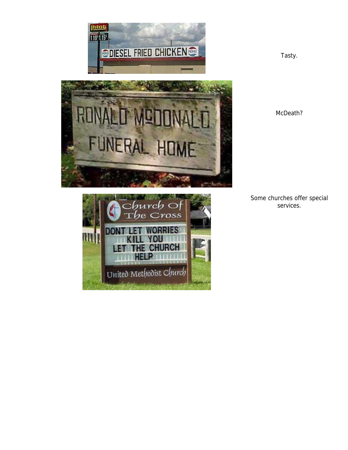



Some churches offer special services.



Tasty.

McDeath?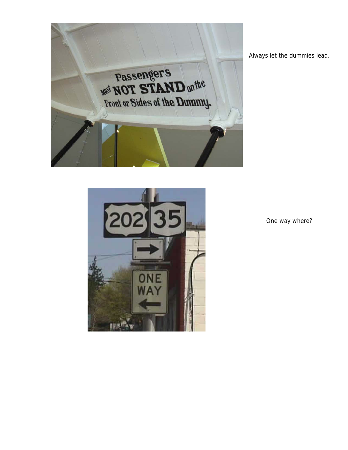

Always let the dummies lead.



One way where?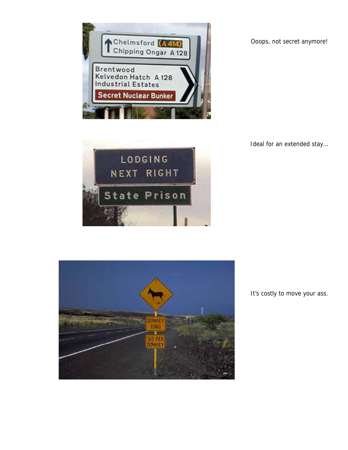

Ooops, not secret anymore!







It's costly to move your ass.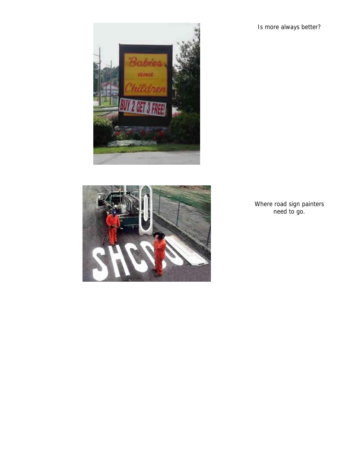Is more always better?





Where road sign painters need to go.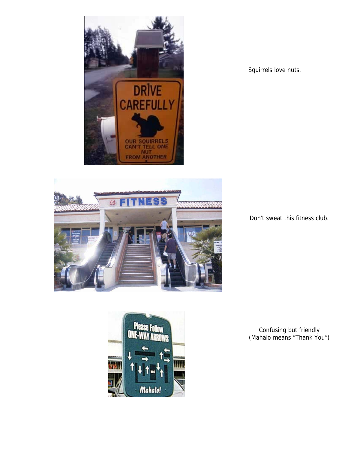



Squirrels love nuts.

Don't sweat this fitness club.



Confusing but friendly (Mahalo means "Thank You")